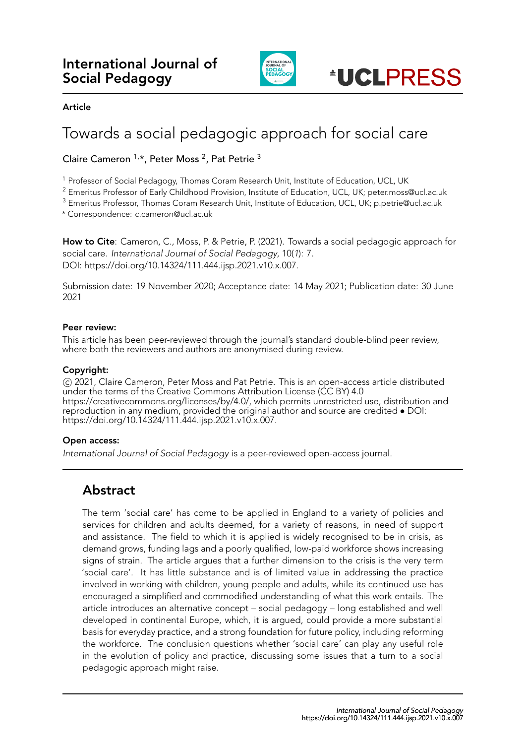

#### **Article**

# Towards a social pedagogic approach for social care

#### Claire Cameron <sup>1,\*</sup>, Peter Moss <sup>2</sup>, Pat Petrie <sup>3</sup>

<sup>1</sup> Professor of Social Pedagogy, Thomas Coram Research Unit, Institute of Education, UCL, UK

<sup>2</sup> Emeritus Professor of Early Childhood Provision, Institute of Education, UCL, UK; peter.moss@ucl.ac.uk

<sup>3</sup> Emeritus Professor, Thomas Coram Research Unit, Institute of Education, UCL, UK; p.petrie@ucl.ac.uk

\* Correspondence: c.cameron@ucl.ac.uk

**How to Cite**: Cameron, C., Moss, P. & Petrie, P. (2021). Towards a social pedagogic approach for social care. *International Journal of Social Pedagogy*, 10(*1*): 7. DOI: https://doi.org/10.14324/111.444.ijsp.2021.v10.x.007.

Submission date: 19 November 2020; Acceptance date: 14 May 2021; Publication date: 30 June 2021

#### **Peer review:**

This article has been peer-reviewed through the journal's standard double-blind peer review, where both the reviewers and authors are anonymised during review.

#### **Copyright:**

*⃝*c 2021, Claire Cameron, Peter Moss and Pat Petrie. This is an open-access article distributed under the terms of the Creative Commons Attribution License (CC BY) 4.0 https://creativecommons.org/licenses/by/4.0/, which permits unrestricted use, distribution and reproduction in any medium, provided the original author and source are credited *•* DOI: https://doi.org/10.14324/111.444.ijsp.2021.v10.x.007.

#### **Open access:**

*International Journal of Social Pedagogy* is a peer-reviewed open-access journal.

# **Abstract**

The term 'social care' has come to be applied in England to a variety of policies and services for children and adults deemed, for a variety of reasons, in need of support and assistance. The field to which it is applied is widely recognised to be in crisis, as demand grows, funding lags and a poorly qualified, low-paid workforce shows increasing signs of strain. The article argues that a further dimension to the crisis is the very term 'social care'. It has little substance and is of limited value in addressing the practice involved in working with children, young people and adults, while its continued use has encouraged a simplified and commodified understanding of what this work entails. The article introduces an alternative concept – social pedagogy – long established and well developed in continental Europe, which, it is argued, could provide a more substantial basis for everyday practice, and a strong foundation for future policy, including reforming the workforce. The conclusion questions whether 'social care' can play any useful role in the evolution of policy and practice, discussing some issues that a turn to a social pedagogic approach might raise.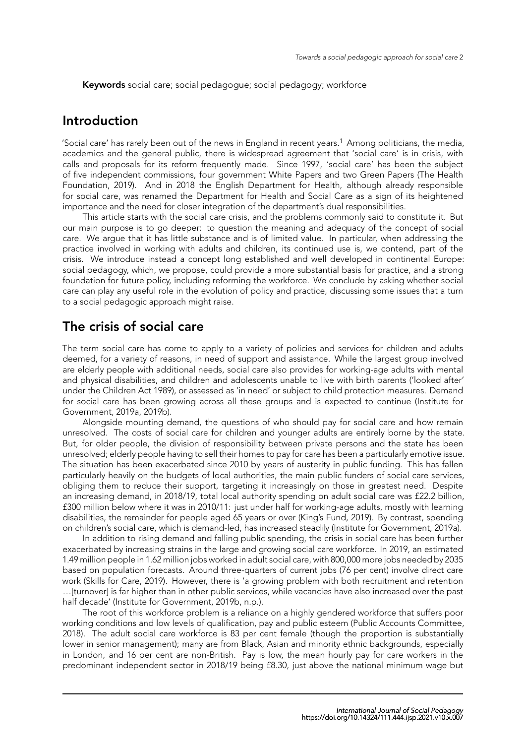**Keywords** social care; social pedagogue; social pedagogy; workforce

## **Introduction**

'Social care' has rarely been out of the news in England in recent years.<sup>1</sup> Among politicians, the media, academics and the general public, there is widespread agreement that 'social care' is in crisis, with calls and proposals for its reform frequently made. Since 1997, 'social care' has been the subject of five independent commissions, four government White Papers and two Green Papers (The Health Foundation, 2019). And in 2018 the English Department for Health, although already responsible for social care, was renamed the Department for Health and Social Care as a sign of its heightened importance and the need for closer integration of the department's dual responsibilities.

This article starts with the social care crisis, and the problems commonly said to const[itute it. But](#page-11-0) [our main purpose](#page-11-0) is to go deeper: to question the meaning and adequacy of the concept of social care. We argue that it has little substance and is of limited value. In particular, when addressing the practice involved in working with adults and children, its continued use is, we contend, part of the crisis. We introduce instead a concept long established and well developed in continental Europe: social pedagogy, which, we propose, could provide a more substantial basis for practice, and a strong foundation for future policy, including reforming the workforce. We conclude by asking whether social care can play any useful role in the evolution of policy and practice, discussing some issues that a turn to a social pedagogic approach might raise.

# **The crisis of social care**

The term social care has come to apply to a variety of policies and services for children and adults deemed, for a variety of reasons, in need of support and assistance. While the largest group involved are elderly people with additional needs, social care also provides for working-age adults with mental and physical disabilities, and children and adolescents unable to live with birth parents ('looked after' under the Children Act 1989), or assessed as 'in need' or subject to child protection measures. Demand for social care has been growing across all these groups and is expected to continue (Institute for Government, 2019a, 2019b).

Alongside mounting demand, the questions of who should pay for social care and how remain unresolved. The costs of social care for children and younger adults are entirely borne by the state. But, for older people, the division of responsibility between private persons and the sta[te has been](#page-11-1) [unresolved; elderly p](#page-11-1)[eople](#page-11-2) having to sell their homes to pay for care has been a particularly emotive issue. The situation has been exacerbated since 2010 by years of austerity in public funding. This has fallen particularly heavily on the budgets of local authorities, the main public funders of social care services, obliging them to reduce their support, targeting it increasingly on those in greatest need. Despite an increasing demand, in 2018/19, total local authority spending on adult social care was £22.2 billion, £300 million below where it was in 2010/11: just under half for working-age adults, mostly with learning disabilities, the remainder for people aged 65 years or over (King's Fund, 2019). By contrast, spending on children's social care, which is demand-led, has increased steadily (Institute for Government, 2019a).

In addition to rising demand and falling public spending, the crisis in social care has been further exacerbated by increasing strains in the large and growing social care workforce. In 2019, an estimated 1.49 million people in 1.62 million jobs worked in adult social c[are, with 800,000 m](#page-11-3)ore jobs needed by 2035 based on population forecasts. Around three-quarters of current job[s \(76 per cent\) involve direct car](#page-11-1)e work (Skills for Care, 2019). However, there is 'a growing problem with both recruitment and retention …[turnover] is far higher than in other public services, while vacancies have also increased over the past half decade' (Institute for Government, 2019b, n.p.).

The root of this workforce problem is a reliance on a highly gendered workforce that suffers poor worki[ng conditions and lo](#page-12-0)w levels of qualification, pay and public esteem (Public Accounts Committee, 2018). The adult social care workforce is 83 per cent female (though the proportion is substantially lower in seni[or management\); many are from](#page-11-2) Black, Asian and minority ethnic backgrounds, especially in London, and 16 per cent are non-British. Pay is low, the mean hourly pay for care workers in the predominant independent sector in 2018/19 being £8.30, just above the [national minimum wage but](#page-12-1)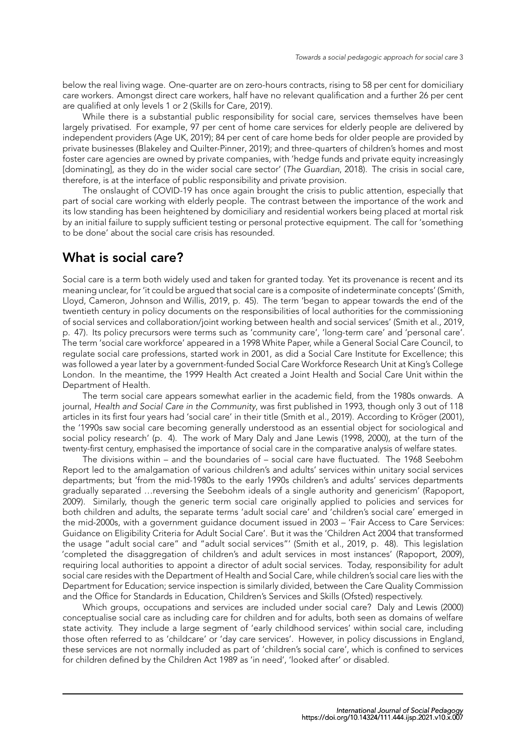below the real living wage. One-quarter are on zero-hours contracts, rising to 58 per cent for domiciliary care workers. Amongst direct care workers, half have no relevant qualification and a further 26 per cent are qualified at only levels 1 or 2 (Skills for Care, 2019).

While there is a substantial public responsibility for social care, services themselves have been largely privatised. For example, 97 per cent of home care services for elderly people are delivered by independent providers (Age UK, 2019); 84 per cent of care home beds for older people are provided by private businesses (Blakeley and [Quilter-Pinner,](#page-12-0) [2019\)](#page-12-0); and three-quarters of children's homes and most foster care agencies are owned by private companies, with 'hedge funds and private equity increasingly [dominating], as they do in the wider social care sector' (*The Guardian*, 2018). The crisis in social care, therefore, is at the inter[face of public r](#page-10-0)esponsibility and private provision.

The onslaugh[t of COVID-19 has once again bro](#page-10-1)ught the crisis to public attention, especially that part of social care working with elderly people. The contrast between the importance of the work and its low standing has been heightened by domiciliary and [residential workers b](#page-11-4)eing placed at mortal risk by an initial failure to supply sufficient testing or personal protective equipment. The call for 'something to be done' about the social care crisis has resounded.

#### **What is social care?**

Social care is a term both widely used and taken for granted today. Yet its provenance is recent and its meaning unclear, for 'it could be argued that social care is a composite of indeterminate concepts' (Smith, Lloyd, Cameron, Johnson and Willis, 2019, p. 45). The term 'began to appear towards the end of the twentieth century in policy documents on the responsibilities of local authorities for the commissioning of social services and collaboration/joint working between health and social services' (Smith et al., 2019, p. 47). Its policy precursors were terms such as 'community care', 'long-term care' and 'personal care'. The term 'social care workforce' appe[ared i](#page-12-2)n a 1998 White Paper, while a General Social Care Council, to regulate social care professions, started work in 2001, as did a Social Care Institute for Excellence; this was followed a year later by a government-funded Social Care Workforce Research Uni[t at King's College](#page-12-2) London. In the meantime, the 1999 Health Act created a Joint Health and Social Care Unit within the Department of Health.

The term social care appears somewhat earlier in the academic field, from the 1980s onwards. A journal, *Health and Social Care in the Community*, was first published in 1993, though only 3 out of 118 articles in its first four years had 'social care' in their title (Smith et al., 2019). According to Kröger (2001), the '1990s saw social care becoming generally understood as an essential object for sociological and social policy research' (p. 4). The work of Mary Daly and Jane Lewis (1998, 2000), at the turn of the twenty-first century, emphasised the importance of social care in the comparative analysis of welfare states.

The divisions within – and the boundaries of – so[cial care have fluc](#page-12-2)tuated. The 1[968 Seebohm](#page-12-3) Report led to the amalgamation of various children's and adults' services within unitary social services departments; but 'from the mid-1980s to the early 1990s children's an[d adu](#page-11-5)l[ts' se](#page-11-6)rvices departments gradually separated …reversing the Seebohm ideals of a single authority and genericism' (Rapoport, 2009). Similarly, though the generic term social care originally applied to policies and services for both children and adults, the separate terms 'adult social care' and 'children's social care' emerged in the mid-2000s, with a government guidance document issued in 2003 – 'Fair Access to Care Services: Guidance on Eligibility Criteria for Adult Social Care'. But it was the 'Children Act 2004 that tr[ansformed](#page-12-4) [the u](#page-12-4)sage "adult social care" and "adult social services"' (Smith et al., 2019, p. 48). This legislation 'completed the disaggregation of children's and adult services in most instances' (Rapoport, 2009), requiring local authorities to appoint a director of adult social services. Today, responsibility for adult social care resides with the Department of Health and Social Care, while children's social care lies with the Department for Education; service inspection is similarly divi[ded, between the C](#page-12-2)are Quality Commission and the Office for Standards in Education, Children's Services and Skills (Ofsted) respe[ctively.](#page-12-4)

Which groups, occupations and services are included under social care? Daly and Lewis (2000) conceptualise social care as including care for children and for adults, both seen as domains of welfare state activity. They include a large segment of 'early childhood services' within social care, including those often referred to as 'childcare' or 'day care services'. However, in policy discussions in England, these services are not normally included as part of 'children's social care', which [is confined to services](#page-11-6) for children defined by the Children Act 1989 as 'in need', 'looked after' or disabled.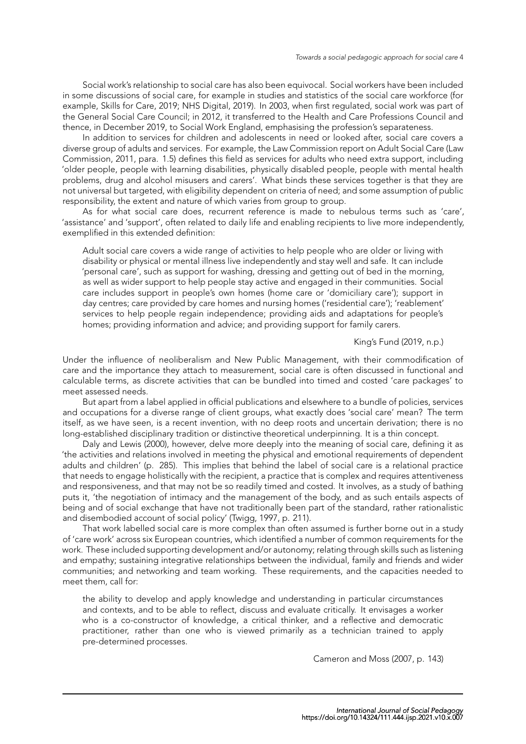Social work's relationship to social care has also been equivocal. Social workers have been included in some discussions of social care, for example in studies and statistics of the social care workforce (for example, Skills for Care, 2019; NHS Digital, 2019). In 2003, when first regulated, social work was part of the General Social Care Council; in 2012, it transferred to the Health and Care Professions Council and thence, in December 2019, to Social Work England, emphasising the profession's separateness.

In addition to services for children and adolescents in need or looked after, social care covers a diverse g[roup of adults and se](#page-12-0)r[vices. For example](#page-12-5), the Law Commission report on Adult Social Care (Law Commission, 2011, para. 1.5) defines this field as services for adults who need extra support, including 'older people, people with learning disabilities, physically disabled people, people with mental health problems, drug and alcohol misusers and carers'. What binds these services together is that they are not universal but targeted, with eligibility dependent on criteria of need; and some assumption of p[ublic](#page-12-6) [responsibility](#page-12-6), [the e](#page-12-6)xtent and nature of which varies from group to group.

As for what social care does, recurrent reference is made to nebulous terms such as 'care', 'assistance' and 'support', often related to daily life and enabling recipients to live more independently, exemplified in this extended definition:

Adult social care covers a wide range of activities to help people who are older or living with disability or physical or mental illness live independently and stay well and safe. It can include 'personal care', such as support for washing, dressing and getting out of bed in the morning, as well as wider support to help people stay active and engaged in their communities. Social care includes support in people's own homes (home care or 'domiciliary care'); support in day centres; care provided by care homes and nursing homes ('residential care'); 'reablement' services to help people regain independence; providing aids and adaptations for people's homes; providing information and advice; and providing support for family carers.

#### King's Fund (2019, n.p.)

Under the influence of neoliberalism and New Public Management, with their commodification of care and the importance they attach to measurement, social care is often discussed in functional and calculable terms, as discrete activities that can be bundled into timed an[d costed 'care pa](#page-11-3)ckages' to meet assessed needs.

But apart from a label applied in official publications and elsewhere to a bundle of policies, services and occupations for a diverse range of client groups, what exactly does 'social care' mean? The term itself, as we have seen, is a recent invention, with no deep roots and uncertain derivation; there is no long-established disciplinary tradition or distinctive theoretical underpinning. It is a thin concept.

Daly and Lewis (2000), however, delve more deeply into the meaning of social care, defining it as 'the activities and relations involved in meeting the physical and emotional requirements of dependent adults and children' (p. 285). This implies that behind the label of social care is a relational practice that needs to engage holistically with the recipient, a practice that is complex and requires attentiveness andr[esponsiveness, and th](#page-11-6)at may not be so readily timed and costed. It involves, as a study of bathing puts it, 'the negotiation of intimacy and the management of the body, and as such entails aspects of being and of social exchange that have not traditionally been part of the standard, rather rationalistic and disembodied account of social policy' (Twigg, 1997, p. 211).

That work labelled social care is more complex than often assumed is further borne out in a study of 'care work' across six European countries, which identified a number of common requirements for the work. These included supporting development and/or autonomy; relating through skills such as listening and empathy; sustaining integrative relatio[nships betwe](#page-12-7)en the individual, family and friends and wider communities; and networking and team working. These requirements, and the capacities needed to meet them, call for:

the ability to develop and apply knowledge and understanding in particular circumstances and contexts, and to be able to reflect, discuss and evaluate critically. It envisages a worker who is a co-constructor of knowledge, a critical thinker, and a reflective and democratic practitioner, rather than one who is viewed primarily as a technician trained to apply pre-determined processes.

Cameron and Moss (2007, p. 143)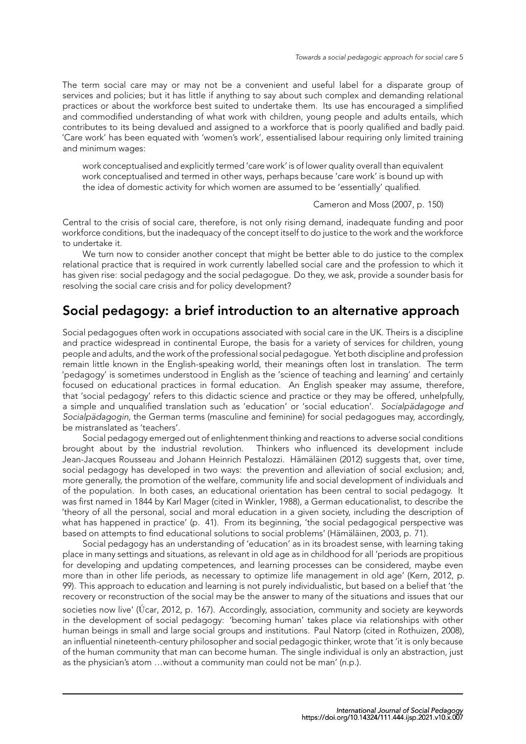The term social care may or may not be a convenient and useful label for a disparate group of services and policies; but it has little if anything to say about such complex and demanding relational practices or about the workforce best suited to undertake them. Its use has encouraged a simplified and commodified understanding of what work with children, young people and adults entails, which contributes to its being devalued and assigned to a workforce that is poorly qualified and badly paid. 'Care work' has been equated with 'women's work', essentialised labour requiring only limited training and minimum wages:

work conceptualised and explicitly termed 'care work' is of lower quality overall than equivalent work conceptualised and termed in other ways, perhaps because 'care work' is bound up with the idea of domestic activity for which women are assumed to be 'essentially' qualified.

#### Cameron and Moss (2007, p. 150)

Central to the crisis of social care, therefore, is not only rising demand, inadequate funding and poor workforce conditions, but the inadequacy of the concept itself to do justice to the work and the workforce to undertake it.

We turn now to consider another concept that might be b[etter able to do just](#page-11-7)i[ce to](#page-11-7) the complex relational practice that is required in work currently labelled social care and the profession to which it has given rise: social pedagogy and the social pedagogue. Do they, we ask, provide a sounder basis for resolving the social care crisis and for policy development?

# **Social pedagogy: a brief introduction to an alternative approach**

Social pedagogues often work in occupations associated with social care in the UK. Theirs is a discipline and practice widespread in continental Europe, the basis for a variety of services for children, young people and adults, and the work of the professional social pedagogue. Yet both discipline and profession remain little known in the English-speaking world, their meanings often lost in translation. The term 'pedagogy' is sometimes understood in English as the 'science of teaching and learning' and certainly focused on educational practices in formal education. An English speaker may assume, therefore, that 'social pedagogy' refers to this didactic science and practice or they may be offered, unhelpfully, a simple and unqualified translation such as 'education' or 'social education'. *Socialpädagoge and Socialpädagogin*, the German terms (masculine and feminine) for social pedagogues may, accordingly, be mistranslated as 'teachers'.

Social pedagogy emerged out of enlightenment thinking and reactions to adverse social conditions brought about by the industrial revolution. Thinkers who influenced its development include Jean-Jacques Rousseau and Johann Heinrich Pestalozzi. Hämäläinen (2012) suggests that, over time, social pedagogy has developed in two ways: the prevention and alleviation of social exclusion; and, more generally, the promotion of the welfare, community life and social development of individuals and of the population. In both cases, an educational orientation has been central to social pedagogy. It was first named in 1844 by Karl Mager (cited in Winkler, 19[88\), a German educ](#page-11-8)ationalist, to describe the 'theory of all the personal, social and moral education in a given society, including the description of what has happened in practice' (p. 41). From its beginning, 'the social pedagogical perspective was based on attempts to find educational solutions to social problems' (Hämäläinen, 2003, p. 71).

Social pedagogy has an understanding of ['educat](#page-13-0)i[on' as](#page-13-0) in its broadest sense, with learning taking place in many settings and situations, as relevant in old age as in childhood for all 'periods are propitious for developing and updating competences, and learning processes can be considered, maybe even more than in other life periods, as necessary to optimize life mana[gement in o](#page-11-9)l[d age](#page-11-9)' (Kern, 2012, p. 99). This approach to education and learning is not purely individualistic, but based on a belief that 'the recovery or reconstruction of the social may be the answer to many of the situations and issues that our societies now live' (Úcar, 2012, p. 167). Accordingly, association, community and society are keywords in the development of social pedagogy: 'becoming human' takes place via relationsh[ips w](#page-11-10)i[th oth](#page-11-10)er human beings in small and large social groups and institutions. Paul Natorp (cited in Rothuizen, 2008), an influential nineteenth-century philosopher and social pedagogic thinker, wrote that 'it is only because of the human com[munity that m](#page-13-1)an can become human. The single individual is only an abstraction, just as the physician's atom …without a community man could not be man' (n.p.).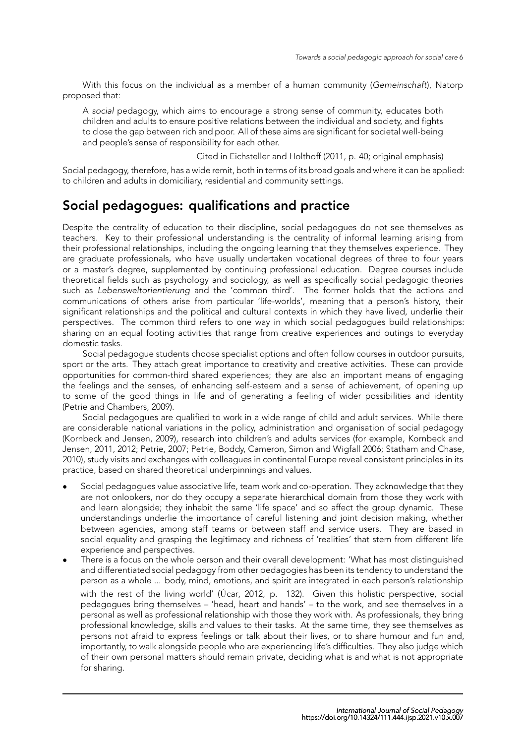With this focus on the individual as a member of a human community (*Gemeinschaft*), Natorp proposed that:

A *social* pedagogy, which aims to encourage a strong sense of community, educates both children and adults to ensure positive relations between the individual and society, and fights to close the gap between rich and poor. All of these aims are significant for societal well-being and people's sense of responsibility for each other.

Cited in Eichsteller and Holthoff (2011, p. 40; original emphasis)

Social pedagogy, therefore, has a wide remit, both in terms of its broad goals and where it can be applied: to children and adults in domiciliary, residential and community settings.

# **Social pedagogues: qualifi[cations and practice](#page-11-11)**

Despite the centrality of education to their discipline, social pedagogues do not see themselves as teachers. Key to their professional understanding is the centrality of informal learning arising from their professional relationships, including the ongoing learning that they themselves experience. They are graduate professionals, who have usually undertaken vocational degrees of three to four years or a master's degree, supplemented by continuing professional education. Degree courses include theoretical fields such as psychology and sociology, as well as specifically social pedagogic theories such as *Lebensweltorientierung* and the 'common third'. The former holds that the actions and communications of others arise from particular 'life-worlds', meaning that a person's history, their significant relationships and the political and cultural contexts in which they have lived, underlie their perspectives. The common third refers to one way in which social pedagogues build relationships: sharing on an equal footing activities that range from creative experiences and outings to everyday domestic tasks.

Social pedagogue students choose specialist options and often follow courses in outdoor pursuits, sport or the arts. They attach great importance to creativity and creative activities. These can provide opportunities for common-third shared experiences; they are also an important means of engaging the feelings and the senses, of enhancing self-esteem and a sense of achievement, of opening up to some of the good things in life and of generating a feeling of wider possibilities and identity (Petrie and Chambers, 2009).

Social pedagogues are qualified to work in a wide range of child and adult services. While there are considerable national variations in the policy, administration and organisation of social pedagogy (Kornbeck and Jensen, 2009), research into children's and adults services (for example, Kornbeck and [Jensen,](#page-12-8) 2011, 2012; Pe[trie,](#page-12-8) 2007; Petrie, Boddy, Cameron, Simon and Wigfall 2006; Statham and Chase, 2010), study visits and exchanges with colleagues in continental Europe reveal consistent principles in its practice, based on shared theoretical underpinnings and values.

- *•* [Social pedagogues value](#page-11-12) associative life, team work and co-operation. They acknowl[edge that they](#page-11-13) [are not o](#page-11-13)[nlook](#page-11-14)[ers, nor do t](#page-12-9)hey occupy a separate hierarchical domainf[rom t](#page-12-10)[hose they work with](#page-12-11) [a](#page-12-11)nd learn alongside; they inhabit the same 'life space' and so affect the group dynamic. These understandings underlie the importance of careful listening and joint decision making, whether between agencies, among staff teams or between staff and service users. They are based in social equality and grasping the legitimacy and richness of 'realities' that stem from different life experience and perspectives.
- *•* There is a focus on the whole person and their overall development: 'What has most distinguished and differentiated social pedagogy from other pedagogies has been its tendency to understand the person as a whole ... body, mind, emotions, and spirit are integrated in each person's relationship with the rest of the living world' (Úcar, 2012, p. 132). Given this holistic perspective, social pedagogues bring themselves – 'head, heart and hands' – to the work, and see themselves in a personal as well as professional relationship with those they work with. As professionals, they bring professional knowledge, skills and values to their tasks. At the same time, they see themselves as persons not afraid to express feeli[ngs o](#page-13-1)r [talk a](#page-13-1)bout their lives, or to share humour and fun and, importantly, to walk alongside people who are experiencing life's difficulties. They also judge which of their own personal matters should remain private, deciding what is and what is not appropriate for sharing.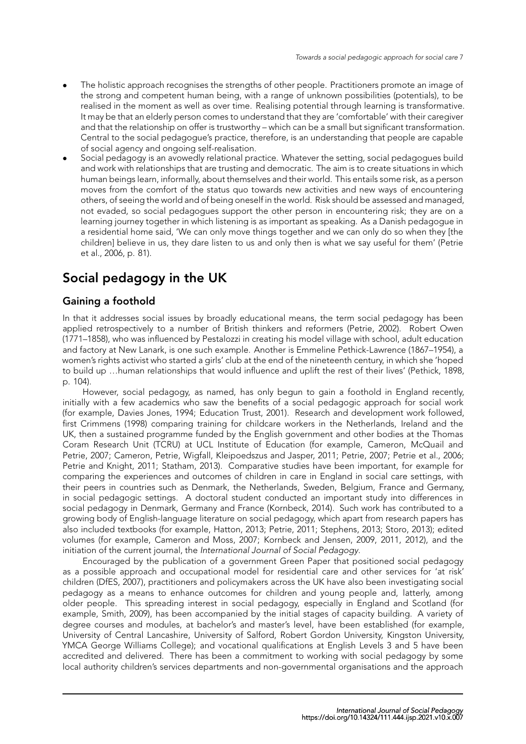- *•* The holistic approach recognises the strengths of other people. Practitioners promote an image of the strong and competent human being, with a range of unknown possibilities (potentials), to be realised in the moment as well as over time. Realising potential through learning is transformative. It may be that an elderly person comes to understand that they are 'comfortable' with their caregiver and that the relationship on offer is trustworthy – which can be a small but significant transformation. Central to the social pedagogue's practice, therefore, is an understanding that people are capable of social agency and ongoing self-realisation.
- *•* Social pedagogy is an avowedly relational practice. Whatever the setting, social pedagogues build and work with relationships that are trusting and democratic. The aim is to create situations in which human beings learn, informally, about themselves and their world. This entails some risk, as a person moves from the comfort of the status quo towards new activities and new ways of encountering others, of seeing the world and of being oneself in the world. Risk should be assessed and managed, not evaded, so social pedagogues support the other person in encountering risk; they are on a learning journey together in which listening is as important as speaking. As a Danish pedagogue in a residential home said, 'We can only move things together and we can only do so when they [the children] believe in us, they dare listen to us and only then is what we say useful for them' (Petrie et al., 2006, p. 81).

# **Social pedagogy in the UK**

#### **Gai[ning a fo](#page-12-10)othold**

In that it addresses social issues by broadly educational means, the term social pedagogy has been applied retrospectively to a number of British thinkers and reformers (Petrie, 2002). Robert Owen (1771–1858), who was influenced by Pestalozzi in creating his model village with school, adult education and factory at New Lanark, is one such example. Another is Emmeline Pethick-Lawrence (1867–1954), a women's rights activist who started a girls' club at the end of the nineteenth century, in which she 'hoped to build up …human relationships that would influence and uplift the res[t of their live](#page-12-12)s' (Pethick, 1898, p. 104).

However, social pedagogy, as named, has only begun to gain a foothold in England recently, initially with a few academics who saw the benefits of a social pedagogic approach for social work (for example, Davies Jones, 1994; Education Trust, 2001). Research and development [work followed](#page-12-13), first Crimmens (1998) comparing training for childcare workers in the Netherlands, Ireland and the UK, then a sustained programme funded by the English government and other bodies at the Thomas Coram Research Unit (TCRU) at UCL Institute of Education (for example, Cameron, McQuail and Petrie, 2007; [Cameron, Petr](#page-11-15)i[e, Wi](#page-11-15)g[fall, Kleipoedszus and](#page-11-16) Jasper, 2011; Petrie, 2007; Petrie et al., 2006; Petr[ie and Knight,](#page-11-17) 2011; Statham, 2013). Comparative studies have been important, for example for comparing the experiences and outcomes of children in care in England in social care settings, with their peers in countries such as Denmark, the Netherlands, Sweden, Belgium, France and Germany, in soci[al pe](#page-11-18)dagogic settings. A doctoral student conducted a[n imp](#page-11-19)[ortant study](#page-12-9)i[nto differences in](#page-12-10) [social pedagogy i](#page-12-14)n [Den](#page-12-14)[mark, Germany](#page-12-15) and France (Kornbeck, 2014). Such work has contributed to a growing body of English-language literature on social pedagogy, which apart from research papers has also included textbooks (for example, Hatton, 2013; Petrie, 2011; Stephens, 2013; Storo, 2013); edited volumes (for example, Cameron and Moss, 2007; Kornbeck and Jensen, 2009, 2011, 2012), and the initiation of the current journal, the *International Jour[nal of Soc](#page-11-20)i[al Ped](#page-11-20)agogy*.

Encouraged by the publication of a government Green Paper that positioned social pedagogy as a possible approach and occupati[onal model f](#page-11-21)[or residentia](#page-12-16)l [care and other](#page-12-17) [services for](#page-12-18) 'at risk' children (DfES, 2007), p[ractitioners and policymake](#page-11-7)[rs across the UK have a](#page-11-12)l[so be](#page-11-12)[en inv](#page-11-13)e[stigat](#page-11-14)ing social pedagogy as a means to enhance outcomes for children and young people and, latterly, among older people. This spreading interest in social pedagogy, especially in England and Scotland (for example, Smith, 2009), has been accompanied by the initial stages of capacity building. A variety of degree c[ourses and](#page-11-22) modules, at bachelor's and master's level, have been established (for example, University of Central Lancashire, University of Salford, Robert Gordon University, Kingston University, YMCA George Williams College); and vocational qualifications at English Levels 3 and 5 have been accredite[d and](#page-12-19) [delive](#page-12-19)red. There has been a commitment to working with social pedagogy by some local authority children's services departments and non-governmental organisations and the approach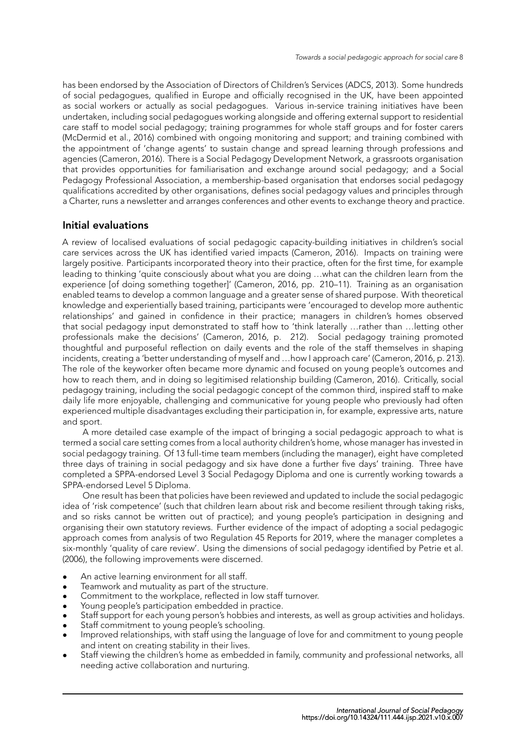has been endorsed by the Association of Directors of Children's Services (ADCS, 2013). Some hundreds of social pedagogues, qualified in Europe and officially recognised in the UK, have been appointed as social workers or actually as social pedagogues. Various in-service training initiatives have been undertaken, including social pedagogues working alongside and offering external support to residential care staff to model social pedagogy; training programmes for whole sta[ff groups and](#page-10-2) for foster carers (McDermid et al., 2016) combined with ongoing monitoring and support; and training combined with the appointment of 'change agents' to sustain change and spread learning through professions and agencies (Cameron, 2016). There is a Social Pedagogy Development Network, a grassroots organisation that provides opportunities for familiarisation and exchange around social pedagogy; and a Social [Pedagogy Profes](#page-12-20)s[ional](#page-12-20) Association, a membership-based organisation that endorses social pedagogy qualifications accredited by other organisations, defines social pedagogy values and principles through a Charter, [runs a newslette](#page-10-3)r and arranges conferences and other events to exchange theory and practice.

#### **Initial evaluations**

A review of localised evaluations of social pedagogic capacity-building initiatives in children's social care services across the UK has identified varied impacts (Cameron, 2016). Impacts on training were largely positive. Participants incorporated theory into their practice, often for the first time, for example leading to thinking 'quite consciously about what you are doing …what can the children learn from the experience [of doing something together]' (Cameron, 2016, pp. 210–11). Training as an organisation enabled teams to develop a common language and a great[er sense o](#page-10-3)f [share](#page-10-3)d purpose. With theoretical knowledge and experientially based training, participants were 'encouraged to develop more authentic relationships' and gained in confidence in their practice; managers in children's homes observed that social pedagogy input demonstrated t[o staff how to 't](#page-10-3)hink laterally …rather than …letting other professionals make the decisions' (Cameron, 2016, p. 212). Social pedagogy training promoted thoughtful and purposeful reflection on daily events and the role of the staff themselves in shaping incidents, creating a 'better understanding of myself and …how I approach care' (Cameron, 2016, p. 213). The role of the keyworker often became more dynamic and focused on young people's outcomes and how to reach them, and in doing so [legitimised relat](#page-10-3)ionship building (Cameron, 2016). Critically, social pedagogy training, including the social pedagogic concept of the common third, inspired staff to make daily life more enjoyable, challenging and communicative for young people w[ho previously ha](#page-10-3)d often experienced multiple disadvantages excluding their participation in, for example, expressive arts, nature and sport.

A more detailed case example of the impact of bringing a social pedagogic approach to what is termed a social care setting comes from a local authority children's home, whose manager has invested in social pedagogy training. Of 13 full-time team members (including the manager), eight have completed three days of training in social pedagogy and six have done a further five days' training. Three have completed a SPPA-endorsed Level 3 Social Pedagogy Diploma and one is currently working towards a SPPA-endorsed Level 5 Diploma.

One result has been that policies have been reviewed and updated to include the social pedagogic idea of 'risk competence' (such that children learn about risk and become resilient through taking risks, and so risks cannot be written out of practice); and young people's participation in designing and organising their own statutory reviews. Further evidence of the impact of adopting a social pedagogic approach comes from analysis of two Regulation 45 Reports for 2019, where the manager completes a six-monthly 'quality of care review'. Using the dimensions of social pedagogy identified by Petrie et al. (2006), the following improvements were discerned.

- An active learning environment for all staff.
- *•* Teamwork and mutuality as part of the structure.
- *•* Commitment to the workplace, reflected in low staff turnover.
- *•* [Y](#page-12-10)oung people's participation embedded in practice.
- *•* Staff support for each young person's hobbies and interests, as well as group activities and holidays.
- *•* Staff commitment to young people's schooling.
- *•* Improved relationships, with staff using the language of love for and commitment to young people and intent on creating stability in their lives.
- *•* Staff viewing the children's home as embedded in family, community and professional networks, all needing active collaboration and nurturing.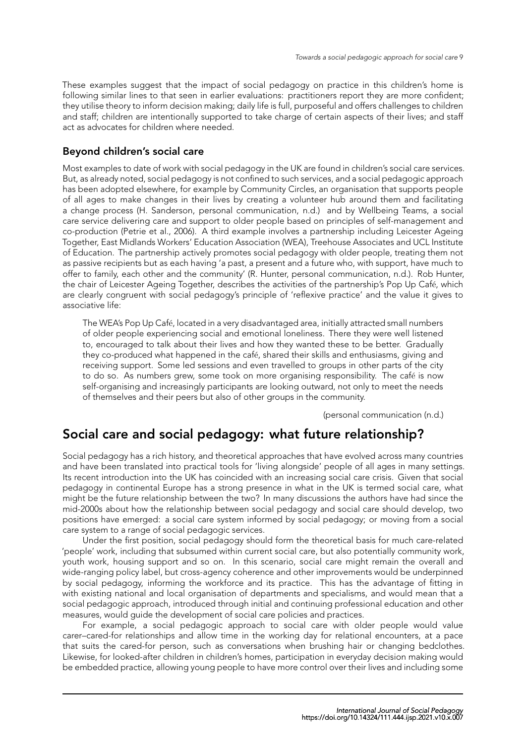These examples suggest that the impact of social pedagogy on practice in this children's home is following similar lines to that seen in earlier evaluations: practitioners report they are more confident; they utilise theory to inform decision making; daily life is full, purposeful and offers challenges to children and staff; children are intentionally supported to take charge of certain aspects of their lives; and staff act as advocates for children where needed.

#### **Beyond children's social care**

Most examples to date of work with social pedagogy in the UK are found in children's social care services. But, as already noted, social pedagogy is not confined to such services, and a social pedagogic approach has been adopted elsewhere, for example by Community Circles, an organisation that supports people of all ages to make changes in their lives by creating a volunteer hub around them and facilitating a change process (H. Sanderson, personal communication, n.d.) and by Wellbeing Teams, a social care service delivering care and support to older people based on principles of self-management and co-production (Petrie et al., 2006). A third example involves a partnership including Leicester Ageing Together, East Midlands Workers' Education Association (WEA), Treehouse Associates and UCL Institute of Education. The partnership actively promotes social pedagogy with older people, treating them not as passive recipients but as each having 'a past, a present and a future who, with support, have much to offer to family, [each other and the](#page-12-10) community' (R. Hunter, personal communication, n.d.). Rob Hunter, the chair of Leicester Ageing Together, describes the activities of the partnership's Pop Up Café, which are clearly congruent with social pedagogy's principle of 'reflexive practice' and the value it gives to associative life:

The WEA's Pop Up Café, located in a very disadvantaged area, initially attracted small numbers of older people experiencing social and emotional loneliness. There they were well listened to, encouraged to talk about their lives and how they wanted these to be better. Gradually they co-produced what happened in the café, shared their skills and enthusiasms, giving and receiving support. Some led sessions and even travelled to groups in other parts of the city to do so. As numbers grew, some took on more organising responsibility. The café is now self-organising and increasingly participants are looking outward, not only to meet the needs of themselves and their peers but also of other groups in the community.

(personal communication (n.d.)

# **Social care and social pedagogy: what future relationship?**

Social pedagogy has a rich history, and theoretical approaches that have evolved across many countries and have been translated into practical tools for 'living alongside' people of all ages in many settings. Its recent introduction into the UK has coincided with an increasing social care crisis. Given that social pedagogy in continental Europe has a strong presence in what in the UK is termed social care, what might be the future relationship between the two? In many discussions the authors have had since the mid-2000s about how the relationship between social pedagogy and social care should develop, two positions have emerged: a social care system informed by social pedagogy; or moving from a social care system to a range of social pedagogic services.

Under the first position, social pedagogy should form the theoretical basis for much care-related 'people' work, including that subsumed within current social care, but also potentially community work, youth work, housing support and so on. In this scenario, social care might remain the overall and wide-ranging policy label, but cross-agency coherence and other improvements would be underpinned by social pedagogy, informing the workforce and its practice. This has the advantage of fitting in with existing national and local organisation of departments and specialisms, and would mean that a social pedagogic approach, introduced through initial and continuing professional education and other measures, would guide the development of social care policies and practices.

For example, a social pedagogic approach to social care with older people would value carer–cared-for relationships and allow time in the working day for relational encounters, at a pace that suits the cared-for person, such as conversations when brushing hair or changing bedclothes. Likewise, for looked-after children in children's homes, participation in everyday decision making would be embedded practice, allowing young people to have more control over their lives and including some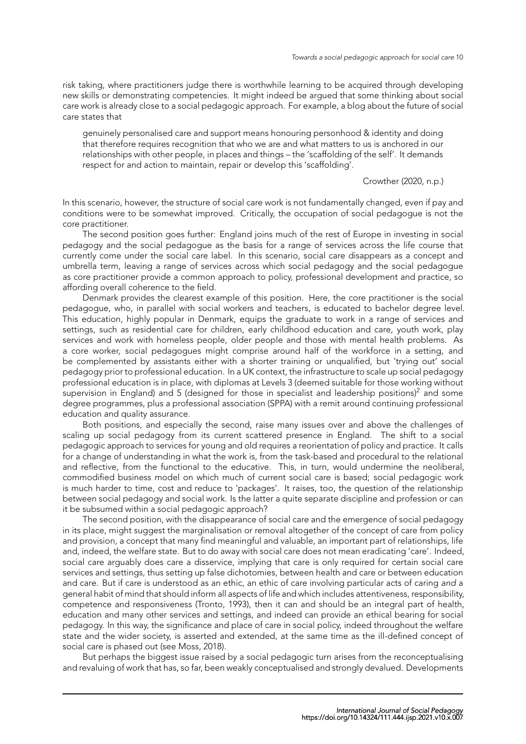risk taking, where practitioners judge there is worthwhile learning to be acquired through developing new skills or demonstrating competencies. It might indeed be argued that some thinking about social care work is already close to a social pedagogic approach. For example, a blog about the future of social care states that

genuinely personalised care and support means honouring personhood & identity and doing that therefore requires recognition that who we are and what matters to us is anchored in our relationships with other people, in places and things – the 'scaffolding of the self'. It demands respect for and action to maintain, repair or develop this 'scaffolding'.

Crowther (2020, n.p.)

In this scenario, however, the structure of social care work is not fundamentally changed, even if pay and conditions were to be somewhat improved. Critically, the occupation of social pedagogue is not the core practitioner.

The second position goes further: England joins much of the rest of Europe in investing in social pedagogy and the social pedagogue as the basis for a range of services across the life course that currently come under the social care label. In this scenario, social care disappears as a concept and umbrella term, leaving a range of services across which social pedagogy and the social pedagogue as core practitioner provide a common approach to policy, professional development and practice, so affording overall coherence to the field.

Denmark provides the clearest example of this position. Here, the core practitioner is the social pedagogue, who, in parallel with social workers and teachers, is educated to bachelor degree level. This education, highly popular in Denmark, equips the graduate to work in a range of services and settings, such as residential care for children, early childhood education and care, youth work, play services and work with homeless people, older people and those with mental health problems. As a core worker, social pedagogues might comprise around half of the workforce in a setting, and be complemented by assistants either with a shorter training or unqualified, but 'trying out' social pedagogy prior to professional education. In a UK context, the infrastructure to scale up social pedagogy professional education is in place, with diplomas at Levels 3 (deemed suitable for those working without supervision in England) and 5 (designed for those in specialist and leadership positions)<sup>2</sup> and some degree programmes, plus a professional association (SPPA) with a remit around continuing professional education and quality assurance.

Both positions, and especially the second, raise many issues over and above the challenges of scaling up social pedagogy from its current scattered presence in England. The shift to a social pedagogic approach to services for young and old requires a reorientation of policy and practice. It calls for a change of understanding in what the work is, from the task-based and procedural to the relational and reflective, from the functional to the educative. This, in turn, would undermine the neoliberal, commodified business model on which much of current social care is based; social pedagogic work is much harder to time, cost and reduce to 'packages'. It raises, too, the question of the relationship between social pedagogy and social work. Is the latter a quite separate discipline and profession or can it be subsumed within a social pedagogic approach?

The second position, with the disappearance of social care and the emergence of social pedagogy in its place, might suggest the marginalisation or removal altogether of the concept of care from policy and provision, a concept that many find meaningful and valuable, an important part of relationships, life and, indeed, the welfare state. But to do away with social care does not mean eradicating 'care'. Indeed, social care arguably does care a disservice, implying that care is only required for certain social care services and settings, thus setting up false dichotomies, between health and care or between education and care. But if care is understood as an ethic, an ethic of care involving particular acts of caring *and* a general habit of mind that should inform all aspects of life and which includes attentiveness, responsibility, competence and responsiveness (Tronto, 1993), then it can and should be an integral part of health, education and many other services and settings, and indeed can provide an ethical bearing for social pedagogy. In this way, the significance and place of care in social policy, indeed throughout the welfare state and the wider society, is asserted and extended, at the same time as the ill-defined concept of social care is phased out (see Moss, [2018\)](#page-12-21).

But perhaps the biggest issue raised [by a](#page-12-21) social pedagogic turn arises from the reconceptualising and revaluing of work that has, so far, been weakly conceptualised and strongly devalued. Developments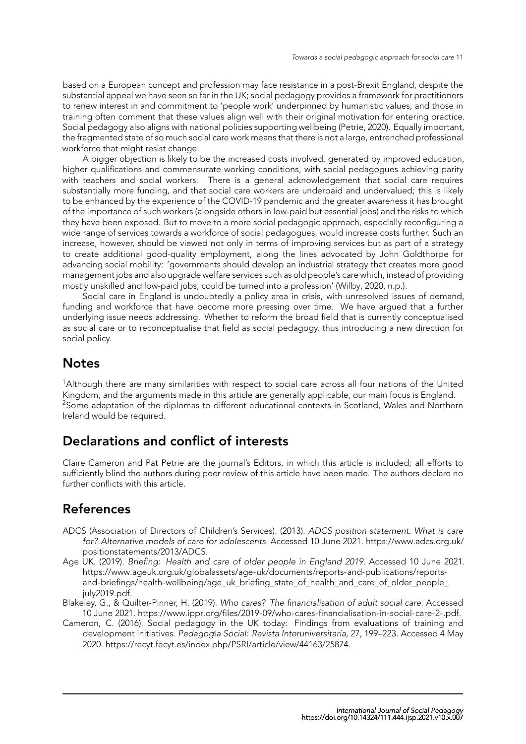based on a European concept and profession may face resistance in a post-Brexit England, despite the substantial appeal we have seen so far in the UK; social pedagogy provides a framework for practitioners to renew interest in and commitment to 'people work' underpinned by humanistic values, and those in training often comment that these values align well with their original motivation for entering practice. Social pedagogy also aligns with national policies supporting wellbeing (Petrie, 2020). Equally important, the fragmented state of so much social care work means that there is not a large, entrenched professional workforce that might resist change.

A bigger objection is likely to be the increased costs involved, generated by improved education, higher qualifications and commensurate working conditions, with soci[al pedagogu](#page-12-22)es achieving parity with teachers and social workers. There is a general acknowledgement that social care requires substantially more funding, and that social care workers are underpaid and undervalued; this is likely to be enhanced by the experience of the COVID-19 pandemic and the greater awareness it has brought of the importance of such workers (alongside others in low-paid but essential jobs) and the risks to which they have been exposed. But to move to a more social pedagogic approach, especially reconfiguring a wide range of services towards a workforce of social pedagogues, would increase costs further. Such an increase, however, should be viewed not only in terms of improving services but as part of a strategy to create additional good-quality employment, along the lines advocated by John Goldthorpe for advancing social mobility: 'governments should develop an industrial strategy that creates more good management jobs and also upgrade welfare services such as old people's care which, instead of providing mostly unskilled and low-paid jobs, could be turned into a profession' (Wilby, 2020, n.p.).

Social care in England is undoubtedly a policy area in crisis, with unresolved issues of demand, funding and workforce that have become more pressing over time. We have argued that a further underlying issue needs addressing. Whether to reform the broad field that is currently conceptualised as social care or to reconceptualise that field as social pedagogy, thu[s introducing](#page-13-2) a new direction for social policy.

## **Notes**

<sup>1</sup>Although there are many similarities with respect to social care across all four nations of the United Kingdom, and the arguments made in this article are generally applicable, our main focus is England. <sup>2</sup>Some adaptation of the diplomas to different educational contexts in Scotland, Wales and Northern Ireland would be required.

## **Declarations and conflict of interests**

Claire Cameron and Pat Petrie are the journal's Editors, in which this article is included; all efforts to sufficiently blind the authors during peer review of this article have been made. The authors declare no further conflicts with this article.

# **References**

- ADCS (Association of Directors of Children's Services). (2013). *ADCS position statement. What is care for? Alternative models of care for adolescents*. Accessed 10 June 2021. https://www.adcs.org.uk/ positionstatements/2013/ADCS.
- <span id="page-10-2"></span>Age UK. (2019). *Briefing: Health and care of older people in England 2019*. Accessed 10 June 2021. https://www.ageuk.org.uk/globalassets/age-uk/documents/reports-and-publications/reportsand-briefings/health-wellbeing/age\_uk\_briefing\_state\_of\_health\_and\_care\_of\_older\_people [july2019.pdf.](https://www.adcs.org.uk/positionstatements/2013/ADCS)
- <span id="page-10-0"></span>Blakeley, G., & Quilter-Pinner, H. (2019). *Who cares? The financialisation of adult social care*. Accessed 10 June 2021. [https://www.ippr.org/files/2019-09/who-cares-financialisation-in-social-care-2-.p](https://www.ageuk.org.uk/globalassets/age-uk/documents/reports-and-publications/reports-and-briefings/health-wellbeing/age_uk_briefing_state_of_health_and_care_of_older_people_july2019.pdf)df.
- <span id="page-10-3"></span><span id="page-10-1"></span>Cam[eron, C. \(2016\). Social pedagogy in the UK today: Findings from evaluations of training a](https://www.ageuk.org.uk/globalassets/age-uk/documents/reports-and-publications/reports-and-briefings/health-wellbeing/age_uk_briefing_state_of_health_and_care_of_older_people_july2019.pdf)nd [developmen](https://www.ageuk.org.uk/globalassets/age-uk/documents/reports-and-publications/reports-and-briefings/health-wellbeing/age_uk_briefing_state_of_health_and_care_of_older_people_july2019.pdf)t initiatives. *Pedagog*í*a Social: Revista Interuniversitaria*, 27, 199–223. Accessed 4 May 2020. https://recyt.fecyt.es/index.php/PSRI/article/view/44163/25874.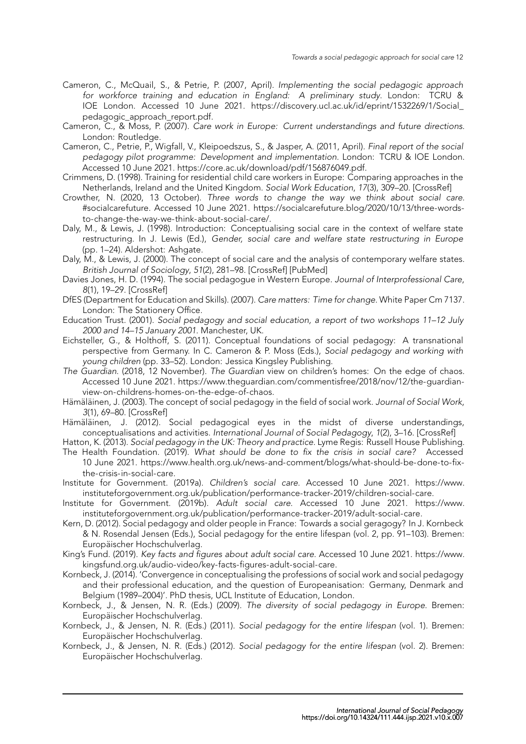- Cameron, C., McQuail, S., & Petrie, P. (2007, April). *Implementing the social pedagogic approach for workforce training and education in England: A preliminary study*. London: TCRU & IOE London. Accessed 10 June 2021. https://discovery.ucl.ac.uk/id/eprint/1532269/1/Social\_ pedagogic\_approach\_report.pdf.
- <span id="page-11-18"></span>Cameron, C., & Moss, P. (2007). *Care work in Europe: Current understandings and future directions*. London: Routledge.
- Cameron, C., Petrie, P., Wigfall, V., Kleipoedszus[, S., & Jasper, A. \(2011, April\).](https://discovery.ucl.ac.uk/id/eprint/1532269/1/Social_pedagogic_approach_report.pdf) *Final report of the social [pedagogy pilot programme: De](https://discovery.ucl.ac.uk/id/eprint/1532269/1/Social_pedagogic_approach_report.pdf)velopment and implementation*. London: TCRU & IOE London. Accessed 10 June 2021. https://core.ac.uk/download/pdf/156876049.pdf.
- <span id="page-11-19"></span><span id="page-11-7"></span>Crimmens, D. (1998). Training for residential child care workers in Europe: Comparing approaches in the Netherlands, Ireland and the United Kingdom. *Social Work Education*, *17*(3), 309–20. [CrossRef]
- Crowther, N. (2020, 13 October). *Three words to change the way we think about social care*. #socialcarefuture. Accessed 10 June 2021. [https://socialcarefuture.blog/](https://core.ac.uk/download/pdf/156876049.pdf)2020/10/13/three-wordsto-change-the-way-we-think-about-social-care/.
- <span id="page-11-17"></span>Daly, M., & Lewis, J. (1998). Introduction: Conceptualising social care in the context of [welfare st](http://doi.org/10.1080/02615479811220311)ate restructuring. In J. Lewis (Ed.), *Gender, social care and welfare state restructuring in Europe* (pp. 1–24). Aldershot: Ashgate.
- <span id="page-11-5"></span>Daly, [M., & Lewis, J. \(2000\). The concept of social care and the analysis of contemporary welfare states.](https://socialcarefuture.blog/2020/10/13/three-words-to-change-the-way-we-think-about-social-care/) *British Journal of Sociology*, *51*(2), 281–98. [CrossRef] [PubMed]
- Davies Jones, H. D. (1994). The social pedagogue in Western Europe. *Journal of Interprofessional Care*, *8*(1), 19–29. [CrossRef]
- <span id="page-11-6"></span>DfES (Department for Education and Skills). (2007). *Care matters: Time for change*. White Paper Cm 7137. London: The Stationery Office.
- <span id="page-11-15"></span>Education Trust. (2001). *Social pedagogy and s[ocial educ](http://doi.org/10.1111/j.1468-4446.2000.00281.x)[ation, a re](http://www.ncbi.nlm.nih.gov/pubmed/10905001)port of two workshops 11–12 July 2000 and 14[–15 Janua](http://doi.org/10.3109/13561829409010398)ry 2001*. Manchester, UK.
- <span id="page-11-22"></span>Eichsteller, G., & Holthoff, S. (2011). Conceptual foundations of social pedagogy: A transnational perspective from Germany. In C. Cameron & P. Moss (Eds.), *Social pedagogy and working with young children* (pp. 33–52). London: Jessica Kingsley Publishing.
- <span id="page-11-16"></span><span id="page-11-11"></span>*The Guardian*. (2018, 12 November). *The Guardian* view on children's homes: On the edge of chaos. Accessed 10 June 2021. https://www.theguardian.com/commentisfree/2018/nov/12/the-guardianview-on-childrens-homes-on-the-edge-of-chaos.
- Hämäläinen, J. (2003). The concept of social pedagogy in the field of social work. *Journal of Social Work*, *3*(1), 69–80. [CrossRef]
- <span id="page-11-4"></span>Hämäläinen, J. (2012). S[ocial pedagogical eyes in the midst of diverse understandings,](https://www.theguardian.com/commentisfree/2018/nov/12/the-guardian-view-on-childrens-homes-on-the-edge-of-chaos) [conceptualisations and activities.](https://www.theguardian.com/commentisfree/2018/nov/12/the-guardian-view-on-childrens-homes-on-the-edge-of-chaos) *International Journal of Social Pedagogy*, *1*(2), 3–16. [CrossRef]
- <span id="page-11-9"></span>Hatton, K. (2013). *Social pedagogy in the UK: Theory and practice*. Lyme Regis: Russell House Publishing.
- <span id="page-11-8"></span>The Health Fou[ndation. \(](http://doi.org/10.1177/2F1468017303003001005)2019). *What should be done to fix the crisis in social care?* Accessed 10 June 2021. https://www.health.org.uk/news-and-comment/blogs/what-should-be-done-to-fixthe-crisis-in-social-care.
- <span id="page-11-21"></span>Institute for Government. (2019a). *Children's social care*. Accessed 10 June 2021. [https://ww](http://doi.org/10.14324/111.444.ijsp.2012.v1.1.002)w. instituteforgovernment.org.uk/publication/performance-tracker-2019/children-social-care.
- <span id="page-11-0"></span>Institute for Government. (2019b). *Adult social care*[. Accessed 10 June 2021.](https://www.health.org.uk/news-and-comment/blogs/what-should-be-done-to-fix-the-crisis-in-social-care) https://www. [instituteforgovernment.](https://www.health.org.uk/news-and-comment/blogs/what-should-be-done-to-fix-the-crisis-in-social-care)org.uk/publication/performance-tracker-2019/adult-social-care.
- <span id="page-11-1"></span>Kern, D. (2012). Social pedagogy and older people in France: Towards a social geragogy? I[n J. Kornbeck](https://www.instituteforgovernment.org.uk/publication/performance-tracker-2019/children-social-care) [& N. Rosendal Jensen \(Eds.\), Social pedagogy for the entire lifespan \(vol. 2, pp. 91–103\). B](https://www.instituteforgovernment.org.uk/publication/performance-tracker-2019/children-social-care)remen: Europäischer Hochschulverlag.
- <span id="page-11-10"></span><span id="page-11-2"></span>King's Fund. (2019). *[Key facts and figures about adult social care](https://www.instituteforgovernment.org.uk/publication/performance-tracker-2019/adult-social-care)*. Accessed 10 June 2021. [https://www.](https://www.instituteforgovernment.org.uk/publication/performance-tracker-2019/adult-social-care) kingsfund.org.uk/audio-video/key-facts-figures-adult-social-care.
- Kornbeck, J. (2014). 'Convergence in conceptualising the professions of social work and social pedagogy and their professional education, and the question of Europeanisation: Germany, Denmark and Belgium (1989–2004)'. PhD thesis, UCL Institute of Education, London.
- <span id="page-11-3"></span>Korn[beck, J., & Jensen, N. R. \(Eds.\) \(2009\).](https://www.kingsfund.org.uk/audio-video/key-facts-figures-adult-social-care) *The diversity of social pedagogy in Europe*[. Bremen:](https://www.kingsfund.org.uk/audio-video/key-facts-figures-adult-social-care) Europäischer Hochschulverlag.
- <span id="page-11-20"></span>Kornbeck, J., & Jensen, N. R. (Eds.) (2011). *Social pedagogy for the entire lifespan* (vol. 1). Bremen: Europäischer Hochschulverlag.
- <span id="page-11-14"></span><span id="page-11-13"></span><span id="page-11-12"></span>Kornbeck, J., & Jensen, N. R. (Eds.) (2012). *Social pedagogy for the entire lifespan* (vol. 2). Bremen: Europäischer Hochschulverlag.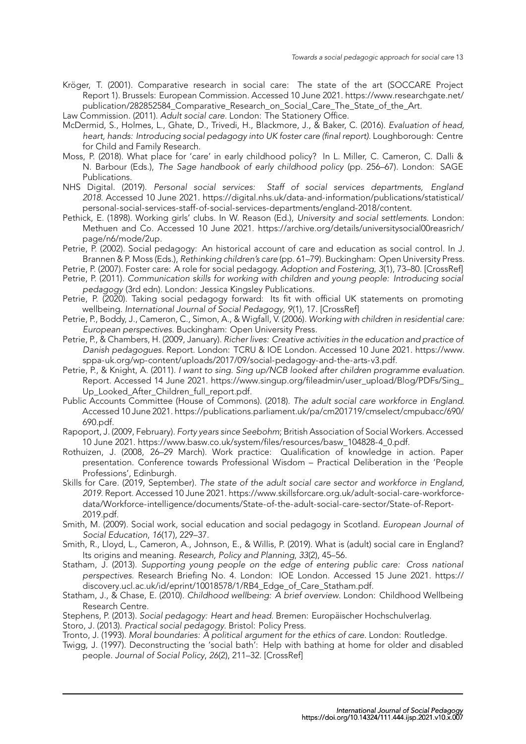Kröger, T. (2001). Comparative research in social care: The state of the art (SOCCARE Project Report 1). Brussels: European Commission. Accessed 10 June 2021. https://www.researchgate.net/ publication/282852584 Comparative Research on Social Care The State of the Art.

Law Commission. (2011). *Adult social care*. London: The Stationery Office.

- <span id="page-12-3"></span>McDermid, S., Holmes, L., Ghate, D., Trivedi, H., Blackmore, J., & Baker, C. (2016). *Evaluation of head, heart, hands: Introducing social pedagogy into UK foster care (final report)*[. Loughborough: Centre](https://www.researchgate.net/publication/282852584_Comparative_Research_on_Social_Care_The_State_of_the_Art) for Child and Family Research.
- <span id="page-12-20"></span><span id="page-12-6"></span>Mos[s, P. \(2018\). What place for 'care' in early childhood policy? In L. Miller, C. Cameron,](https://www.researchgate.net/publication/282852584_Comparative_Research_on_Social_Care_The_State_of_the_Art) C. Dalli & N. Barbour (Eds.), *The Sage handbook of early childhood policy* (pp. 256–67). London: SAGE Publications.
- NHS Digital. (2019). *Personal social services: Staff of social services departments, England 2018*. Accessed 10 June 2021. https://digital.nhs.uk/data-and-information/publications/statistical/ personal-social-services-staff-of-social-services-departments/england-2018/content.
- <span id="page-12-5"></span>Pethick, E. (1898). Working girls' clubs. In W. Reason (Ed.), *University and social settlements*. London: Methuen and Co. Accessed 10 June 2021. https://archive.org/details/universitysocial00reasrich/ page/n6/mode/2up.
- Petri[e, P. \(2002\). Social pedagogy: An historical account of care and education as social control. In J.](https://digital.nhs.uk/data-and-information/publications/statistical/personal-social-services-staff-of-social-services-departments/england-2018/content) Brannen & P. Moss (Eds.), *Rethinking children's care* (pp. 61–79). Buckingham: Open University Press.
- <span id="page-12-13"></span>Petrie, P. (2007). Foster care: A role for social pedagogy. *[Adoption and Fostering](https://archive.org/details/universitysocial00reasrich/page/n6/mode/2up)*, *3*(1), 73–80. [CrossRef]
- Petri[e, P. \(2011\).](https://archive.org/details/universitysocial00reasrich/page/n6/mode/2up) *Communication skills for working with children and young people: Introducing social pedagogy* (3rd edn). London: Jessica Kingsley Publications.
- <span id="page-12-12"></span>Petrie, P. (2020). Taking social pedagogy forward: Its fit with official UK statements on promoting wellbeing. *International Journal of Social Pedagogy*, *9*(1), 17. [CrossRef]
- <span id="page-12-16"></span><span id="page-12-9"></span>Petrie, P., Boddy, J., Cameron, C., Simon, A., & Wigfall, V. (2006). *Working with children in resid[ential care](http://doi.org/10.1177/030857590703100111): European perspectives*. Buckingham: Open University Press.
- <span id="page-12-22"></span>Petrie, P., & Chambers, H. (2009, January). *Richer lives: Creative activities in the education and practice of Danish pedagogues*. Report. London: TCRU & IOE London. [Accessed](http://doi.org/10.14324/111.444.ijsp.2020.v9.x.017) 10 June 2021. https://www. sppa-uk.org/wp-content/uploads/2017/09/social-pedagogy-and-the-arts-v3.pdf.
- <span id="page-12-10"></span><span id="page-12-8"></span>Petrie, P., & Knight, A. (2011). *I want to sing. Sing up/NCB looked after children programme evaluation*. Report. Accessed 14 June 2021. https://www.singup.org/fileadmin/user\_upload/Blog/PDFs/Sing\_ Up Looked After Children full report.pdf.
- <span id="page-12-14"></span>Publi[c Accounts Committee \(House of Commons\). \(2018\).](https://www.sppa-uk.org/wp-content/uploads/2017/09/social-pedagogy-and-the-arts-v3.pdf) *The adult social care workforc[e in England](https://www.sppa-uk.org/wp-content/uploads/2017/09/social-pedagogy-and-the-arts-v3.pdf)*. Accessed 10 June 2021. https://publications.parliament.uk/pa/cm201719/cmselect/cmpubacc/690/ 690.pdf.
- <span id="page-12-1"></span>Rapo[port, J. \(2009, February\).](https://www.singup.org/fileadmin/user_upload/Blog/PDFs/Sing_Up_Looked_After_Children_full_report.pdf) *Forty years since Seebohm*[; British Association of Social Workers. Accessed](https://www.singup.org/fileadmin/user_upload/Blog/PDFs/Sing_Up_Looked_After_Children_full_report.pdf) 10 June 2021. https://www.basw.co.uk/system/files/resources/basw\_104828-4\_0.pdf.
- Rothuizen, J. (2008, 26–29 [March\). Work practice: Qualification of knowledge in action. Paper](https://publications.parliament.uk/pa/cm201719/cmselect/cmpubacc/690/690.pdf) [presenta](https://publications.parliament.uk/pa/cm201719/cmselect/cmpubacc/690/690.pdf)tion. Conference towards Professional Wisdom – Practical Deliberation in the 'People Professions', Edinburgh.
- <span id="page-12-4"></span>Skills for Care. (2019, September). *[The state of the adult social care sector and workforc](https://www.basw.co.uk/system/files/resources/basw_104828-4_0.pdf)e in England, 2019*. Report. Accessed 10 June 2021. https://www.skillsforcare.org.uk/adult-social-care-workforcedata/Workforce-intelligence/documents/State-of-the-adult-social-care-sector/State-of-Report-2019.pdf.
- <span id="page-12-0"></span>Smith, M. (2009). Social work, social education and social pedagogy in Scotland. *European Journal of Social Education*, *16*(17), 229–37.
- Smit[h, R., Lloyd, L., Cameron, A., Johnson, E., & Willis, P. \(2019\). What is \(adult\) social care in England?](https://www.skillsforcare.org.uk/adult-social-care-workforce-data/Workforce-intelligence/documents/State-of-the-adult-social-care-sector/State-of-Report-2019.pdf) [Its origins](https://www.skillsforcare.org.uk/adult-social-care-workforce-data/Workforce-intelligence/documents/State-of-the-adult-social-care-sector/State-of-Report-2019.pdf) and meaning. *Research, Policy and Planning*, *33*(2), 45–56.
- <span id="page-12-19"></span>Statham, J. (2013). *Supporting young people on the edge of entering public care: Cross national perspectives*. Research Briefing No. 4. London: IOE London. Accessed 15 June 2021. https:// discovery.ucl.ac.uk/id/eprint/10018578/1/RB4\_Edge\_of\_Care\_Statham.pdf.
- <span id="page-12-2"></span>Statham, J., & Chase, E. (2010). *Childhood wellbeing: A brief overview*. London: Childhood Wellbeing Research Centre.
- <span id="page-12-15"></span>Stephens, P. (2013). *Social pedagogy: Heart and head*. Bremen: Europäischer Hochschulverlag.
- Storo, J. (2013). *Practical social pedagogy*. Bristol: Policy Press.
- <span id="page-12-11"></span>Tronto, J. (1993). *[Moral boundaries: A political argument for the ethics of care](https://discovery.ucl.ac.uk/id/eprint/10018578/1/RB4_Edge_of_Care_Statham.pdf)*. London: Routledge.
- <span id="page-12-21"></span><span id="page-12-18"></span><span id="page-12-17"></span><span id="page-12-7"></span>Twigg, J. (1997). Deconstructing the 'social bath': Help with bathing at home for older and disabled people. *Journal of Social Policy*, *26*(2), 211–32. [CrossRef]